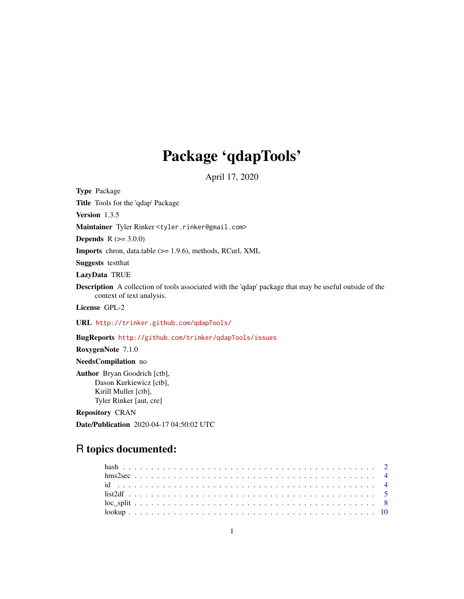# Package 'qdapTools'

April 17, 2020

<span id="page-0-0"></span>Type Package

Title Tools for the 'qdap' Package

Version 1.3.5

Maintainer Tyler Rinker <tyler.rinker@gmail.com>

**Depends**  $R (= 3.0.0)$ 

Imports chron, data.table (>= 1.9.6), methods, RCurl, XML

Suggests testthat

LazyData TRUE

Description A collection of tools associated with the 'qdap' package that may be useful outside of the context of text analysis.

License GPL-2

URL <http://trinker.github.com/qdapTools/>

BugReports <http://github.com/trinker/qdapTools/issues>

RoxygenNote 7.1.0

NeedsCompilation no

Author Bryan Goodrich [ctb], Dason Kurkiewicz [ctb], Kirill Muller [ctb], Tyler Rinker [aut, cre]

Repository CRAN

Date/Publication 2020-04-17 04:50:02 UTC

# R topics documented: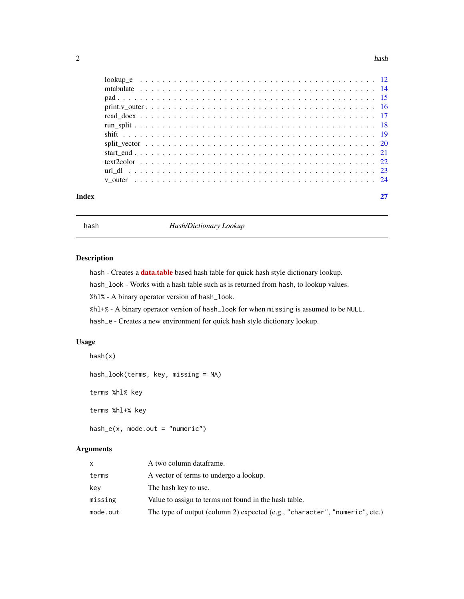#### <span id="page-1-0"></span> $2 \tanh 2 \theta$

| Index |  |
|-------|--|
|       |  |
|       |  |
|       |  |
|       |  |
|       |  |
|       |  |
|       |  |
|       |  |
|       |  |
|       |  |
|       |  |
|       |  |

<span id="page-1-1"></span>hash *Hash/Dictionary Lookup*

# Description

hash - Creates a **[data.table](http://datatable.r-forge.r-project.org/)** based hash table for quick hash style dictionary lookup.

hash\_look - Works with a hash table such as is returned from hash, to lookup values.

%hl% - A binary operator version of hash\_look.

%hl+% - A binary operator version of hash\_look for when missing is assumed to be NULL.

hash\_e - Creates a new environment for quick hash style dictionary lookup.

# Usage

```
hash(x)
hash_look(terms, key, missing = NA)
terms %hl% key
terms %hl+% key
hash_e(x, mode.out = "numeric")
```
# Arguments

| <b>X</b> | A two column dataframe.                                                     |
|----------|-----------------------------------------------------------------------------|
| terms    | A vector of terms to undergo a lookup.                                      |
| kev      | The hash key to use.                                                        |
| missing  | Value to assign to terms not found in the hash table.                       |
| mode.out | The type of output (column 2) expected (e.g., "character", "numeric", etc.) |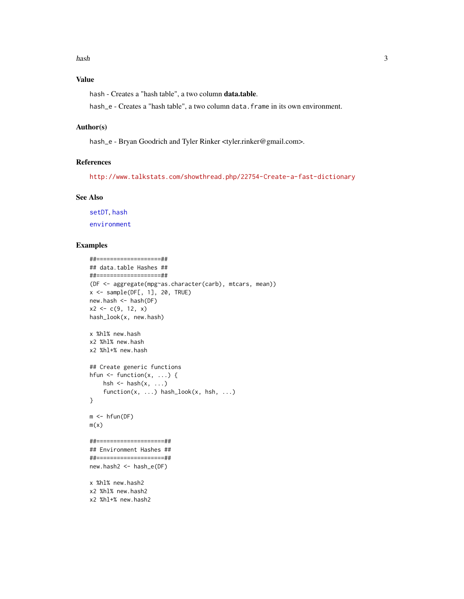# <span id="page-2-0"></span>Value

hash - Creates a "hash table", a two column data.table.

hash\_e - Creates a "hash table", a two column data.frame in its own environment.

#### Author(s)

hash\_e - Bryan Goodrich and Tyler Rinker <tyler.rinker@gmail.com>.

# References

<http://www.talkstats.com/showthread.php/22754-Create-a-fast-dictionary>

#### See Also

[setDT](#page-0-0), [hash](#page-1-1) [environment](#page-0-0)

```
##===================##
## data.table Hashes ##
##===================##
(DF <- aggregate(mpg~as.character(carb), mtcars, mean))
x \leftarrow sample(\text{DF}[, 1], 20, \text{TRUE})new.hash <- hash(DF)
x2 \leq -c(9, 12, x)hash_look(x, new.hash)
x %hl% new.hash
x2 %hl% new.hash
x2 %hl+% new.hash
## Create generic functions
hfun \leq function(x, ...) {
    hsh \leq hash(x, \ldots)function(x, ...) hash_look(x, hsh, ...)
}
m < - hfun(DF)
m(x)##====================##
## Environment Hashes ##
##====================##
new.hash2 <- hash_e(DF)
x %hl% new.hash2
x2 %hl% new.hash2
x2 %hl+% new.hash2
```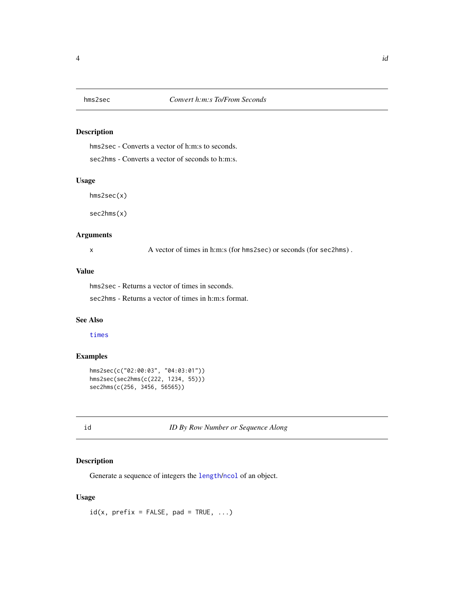# <span id="page-3-0"></span>Description

hms2sec - Converts a vector of h:m:s to seconds.

sec2hms - Converts a vector of seconds to h:m:s.

#### Usage

hms2sec(x)

sec2hms(x)

#### Arguments

x A vector of times in h:m:s (for hms2sec) or seconds (for sec2hms).

#### Value

hms2sec - Returns a vector of times in seconds.

sec2hms - Returns a vector of times in h:m:s format.

# See Also

[times](#page-0-0)

# Examples

```
hms2sec(c("02:00:03", "04:03:01"))
hms2sec(sec2hms(c(222, 1234, 55)))
sec2hms(c(256, 3456, 56565))
```
id *ID By Row Number or Sequence Along*

# Description

Generate a sequence of integers the [length](#page-0-0)/[ncol](#page-0-0) of an object.

#### Usage

 $id(x, prefix = FALSE, pad = TRUE, ...)$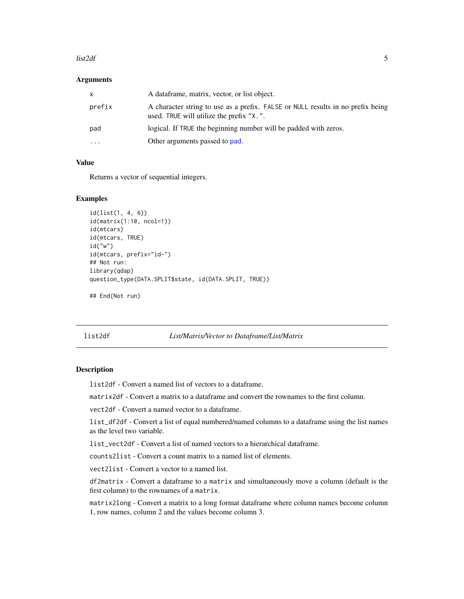#### <span id="page-4-0"></span> $list2df$  5

#### **Arguments**

| x.       | A dataframe, matrix, vector, or list object.                                                                                |
|----------|-----------------------------------------------------------------------------------------------------------------------------|
| prefix   | A character string to use as a prefix. FALSE or NULL results in no prefix being<br>used. TRUE will utilize the prefix "X.". |
| pad      | logical. If TRUE the beginning number will be padded with zeros.                                                            |
| $\cdots$ | Other arguments passed to pad.                                                                                              |

# Value

Returns a vector of sequential integers.

# Examples

```
id(list(1, 4, 6))
id(matrix(1:10, ncol=1))
id(mtcars)
id(mtcars, TRUE)
id("w")
id(mtcars, prefix="id-")
## Not run:
library(qdap)
question_type(DATA.SPLIT$state, id(DATA.SPLIT, TRUE))
```
## End(Not run)

list2df *List/Matrix/Vector to Dataframe/List/Matrix*

#### <span id="page-4-1"></span>Description

list2df - Convert a named list of vectors to a dataframe.

matrix2df - Convert a matrix to a dataframe and convert the rownames to the first column.

vect2df - Convert a named vector to a dataframe.

list\_df2df - Convert a list of equal numbered/named columns to a dataframe using the list names as the level two variable.

list\_vect2df - Convert a list of named vectors to a hierarchical dataframe.

counts2list - Convert a count matrix to a named list of elements.

vect2list - Convert a vector to a named list.

df2matrix - Convert a dataframe to a matrix and simultaneously move a column (default is the first column) to the rownames of a matrix.

matrix2long - Convert a matrix to a long format dataframe where column names become column 1, row names, column 2 and the values become column 3.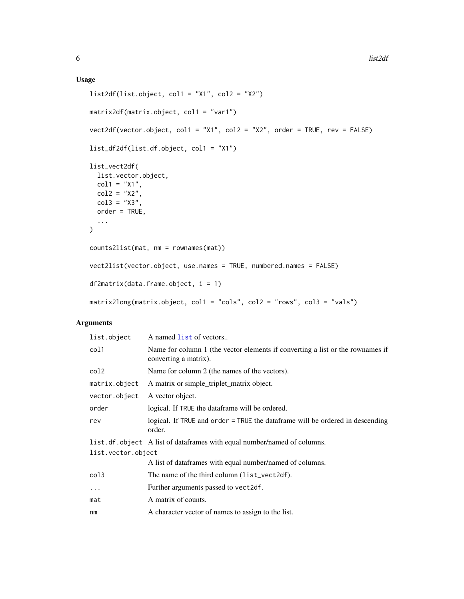# <span id="page-5-0"></span>Usage

```
list2df(list.object, col1 = "X1", col2 = "X2")
matrix2df(matrix.object, col1 = "var1")
vect2df(vector.object, col1 = "X1", col2 = "X2", order = TRUE, rev = FALSE)
list_df2df(list.df.object, col1 = "X1")
list_vect2df(
  list.vector.object,
  col1 = "X1",col2 = "X2",col3 = "X3",order = TRUE,
  ...
\mathcal{L}counts2list(mat, nm = rownames(mat))
vect2list(vector.object, use.names = TRUE, numbered.names = FALSE)
df2matrix(data frame.object, i = 1)matrix2long(matrix.object, col1 = "cols", col2 = "rows", col3 = "vals")
```
# Arguments

| list.object        | A named list of vectors                                                                                 |
|--------------------|---------------------------------------------------------------------------------------------------------|
| col1               | Name for column 1 (the vector elements if converting a list or the rownames if<br>converting a matrix). |
| col2               | Name for column 2 (the names of the vectors).                                                           |
| matrix.object      | A matrix or simple_triplet_matrix object.                                                               |
| vector.object      | A vector object.                                                                                        |
| order              | logical. If TRUE the dataframe will be ordered.                                                         |
| rev                | logical. If TRUE and order = TRUE the dataframe will be ordered in descending<br>order.                 |
|                    | list.df.object A list of dataframes with equal number/named of columns.                                 |
| list.vector.object |                                                                                                         |
|                    | A list of dataframes with equal number/named of columns.                                                |
| col3               | The name of the third column (list_vect2df).                                                            |
| $\ddots$ .         | Further arguments passed to vect2df.                                                                    |
| mat                | A matrix of counts.                                                                                     |
| nm                 | A character vector of names to assign to the list.                                                      |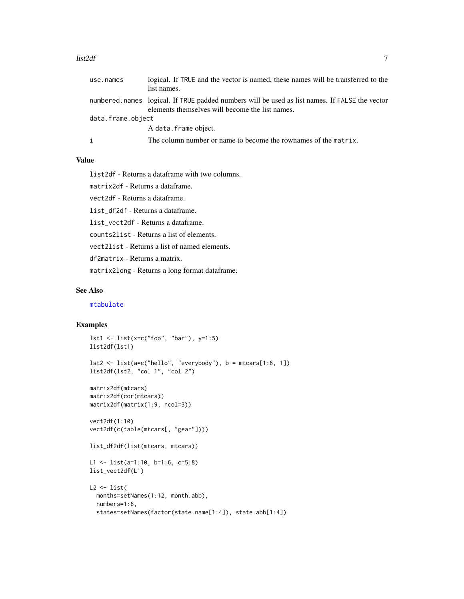#### <span id="page-6-0"></span>list2df 7

| use.names         | logical. If TRUE and the vector is named, these names will be transferred to the<br>list names.                                                   |
|-------------------|---------------------------------------------------------------------------------------------------------------------------------------------------|
|                   | numbered.names logical. If TRUE padded numbers will be used as list names. If FALSE the vector<br>elements themselves will become the list names. |
| data.frame.object |                                                                                                                                                   |
|                   | A data.frame object.                                                                                                                              |
|                   | The column number or name to become the rownames of the matrix.                                                                                   |

# Value

list2df - Returns a dataframe with two columns.

matrix2df - Returns a dataframe.

vect2df - Returns a dataframe.

list\_df2df - Returns a dataframe.

list\_vect2df - Returns a dataframe.

counts2list - Returns a list of elements.

vect2list - Returns a list of named elements.

df2matrix - Returns a matrix.

matrix2long - Returns a long format dataframe.

#### See Also

[mtabulate](#page-13-1)

```
lst1 <- list(x=c("foo", "bar"), y=1:5)
list2df(lst1)
lst2 \leftarrow list(a=c("hello", "everybody"), b = mtcars[1:6, 1])list2df(lst2, "col 1", "col 2")
matrix2df(mtcars)
matrix2df(cor(mtcars))
matrix2df(matrix(1:9, ncol=3))
vect2df(1:10)
vect2df(c(table(mtcars[, "gear"])))
list_df2df(list(mtcars, mtcars))
L1 <- list(a=1:10, b=1:6, c=5:8)
list_vect2df(L1)
L2 \leftarrow list(months=setNames(1:12, month.abb),
  numbers=1:6,
  states=setNames(factor(state.name[1:4]), state.abb[1:4])
```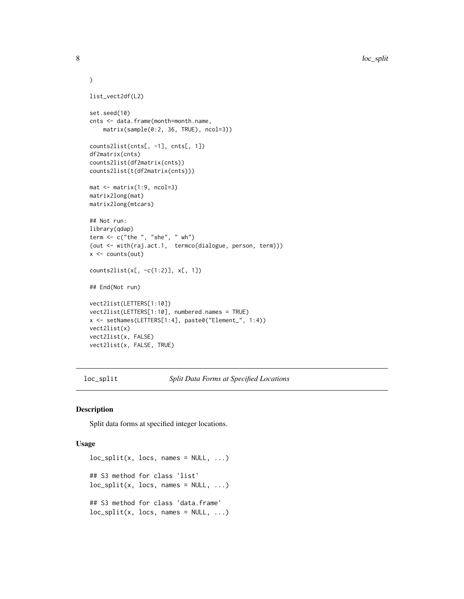```
\mathcal{L}list_vect2df(L2)
set.seed(10)
cnts <- data.frame(month=month.name,
    matrix(sample(0:2, 36, TRUE), ncol=3))
counts2list(cnts[, -1], cnts[, 1])
df2matrix(cnts)
counts2list(df2matrix(cnts))
counts2list(t(df2matrix(cnts)))
mat < -matrix(1:9, ncol=3)matrix2long(mat)
matrix2long(mtcars)
## Not run:
library(qdap)
term \leq c("the ", "she", " wh")
(out <- with(raj.act.1, termco(dialogue, person, term)))
x \leftarrow \text{counts}(\text{out})counts2list(x[, -c(1:2)], x[, 1])
## End(Not run)
vect2list(LETTERS[1:10])
vect2list(LETTERS[1:10], numbered.names = TRUE)
x <- setNames(LETTERS[1:4], paste0("Element_", 1:4))
vect2list(x)
vect2list(x, FALSE)
vect2list(x, FALSE, TRUE)
```
<span id="page-7-1"></span>loc\_split *Split Data Forms at Specified Locations*

#### Description

Split data forms at specified integer locations.

#### Usage

```
loc\_split(x, locus, names = NULL, ...)## S3 method for class 'list'
loc\_split(x, locs, names = NULL, ...)## S3 method for class 'data.frame'
loc\_split(x, locs, names = NULL, ...)
```
<span id="page-7-0"></span>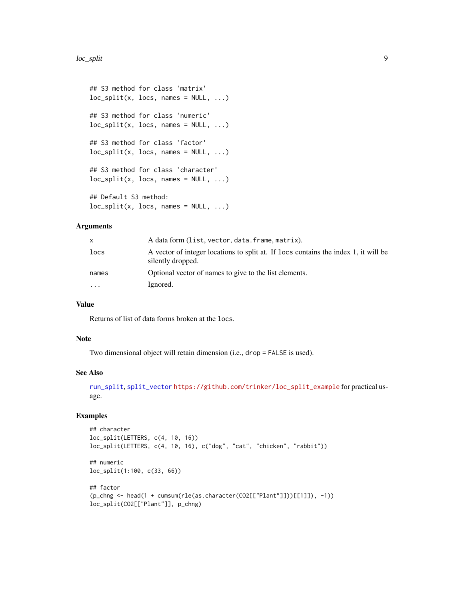```
## S3 method for class 'matrix'
loc\_split(x, locus, names = NULL, ...)## S3 method for class 'numeric'
loc\_split(x, locus, names = NULL, ...)## S3 method for class 'factor'
loc\_split(x, locus, names = NULL, ...)## S3 method for class 'character'
loc\_split(x, locs, names = NULL, ...)## Default S3 method:
loc\_split(x, locus, names = NULL, ...)
```
#### Arguments

| X.        | A data form (list, vector, data, frame, matrix).                                                         |
|-----------|----------------------------------------------------------------------------------------------------------|
| locs      | A vector of integer locations to split at. If locs contains the index 1, it will be<br>silently dropped. |
| names     | Optional vector of names to give to the list elements.                                                   |
| $\ddotsc$ | Ignored.                                                                                                 |

# Value

Returns of list of data forms broken at the locs.

#### Note

Two dimensional object will retain dimension (i.e., drop = FALSE is used).

# See Also

[run\\_split](#page-17-1), [split\\_vector](#page-19-1) [https://github.com/trinker/loc\\_split\\_example](https://github.com/trinker/loc_split_example) for practical usage.

```
## character
loc_split(LETTERS, c(4, 10, 16))
loc_split(LETTERS, c(4, 10, 16), c("dog", "cat", "chicken", "rabbit"))
## numeric
loc_split(1:100, c(33, 66))
## factor
(p_chng <- head(1 + cumsum(rle(as.character(CO2[["Plant"]]))[[1]]), -1))
loc_split(CO2[["Plant"]], p_chng)
```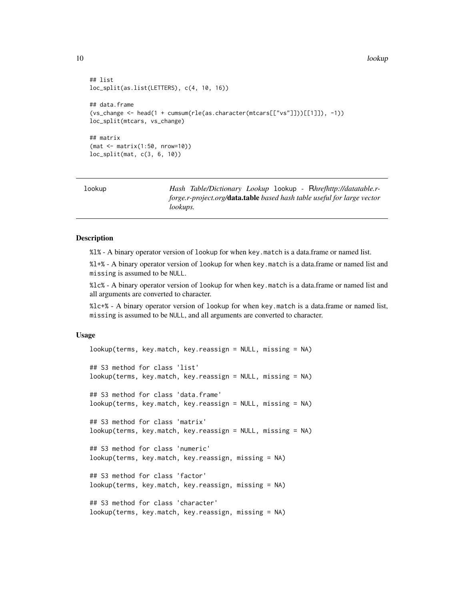<span id="page-9-0"></span>10 lookup and the state of the state of the state of the state of the state of the state of the state of the state of the state of the state of the state of the state of the state of the state of the state of the state of

```
## list
loc_split(as.list(LETTERS), c(4, 10, 16))
## data.frame
(vs_change <- head(1 + cumsum(rle(as.character(mtcars[["vs"]]))[[1]]), -1))
loc_split(mtcars, vs_change)
## matrix
(mat <- matrix(1:50, nrow=10))
loc_split(mat, c(3, 6, 10))
```
<span id="page-9-1"></span>

| lookup | Hash Table/Dictionary Lookup 100kup - Rhrefhttp://datatable.r-                  |
|--------|---------------------------------------------------------------------------------|
|        | forge.r-project.org/ <b>data.table</b> based hash table useful for large vector |
|        | <i>lookups.</i>                                                                 |

#### **Description**

%l% - A binary operator version of lookup for when key.match is a data.frame or named list.

%l+% - A binary operator version of lookup for when key.match is a data.frame or named list and missing is assumed to be NULL.

%lc% - A binary operator version of lookup for when key.match is a data.frame or named list and all arguments are converted to character.

%lc+% - A binary operator version of lookup for when key.match is a data.frame or named list, missing is assumed to be NULL, and all arguments are converted to character.

#### Usage

```
lookup(terms, key.match, key.reassign = NULL, missing = NA)
## S3 method for class 'list'
lookup(terms, key.match, key.reassign = NULL, missing = NA)
## S3 method for class 'data.frame'
lookup(terms, key.match, key.reassign = NULL, missing = NA)
## S3 method for class 'matrix'
lookup(terms, key.match, key.reassign = NULL, missing = NA)
## S3 method for class 'numeric'
lookup(terms, key.match, key.reassign, missing = NA)
## S3 method for class 'factor'
lookup(terms, key.match, key.reassign, missing = NA)
## S3 method for class 'character'
lookup(terms, key.match, key.reassign, missing = NA)
```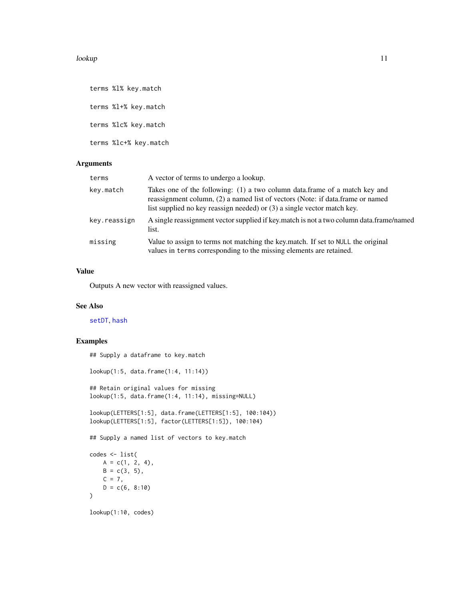#### <span id="page-10-0"></span>lookup 11

terms %l% key.match terms %l+% key.match terms %lc% key.match terms %lc+% key.match

# Arguments

| terms        | A vector of terms to undergo a lookup.                                                                                                                                                                                                  |
|--------------|-----------------------------------------------------------------------------------------------------------------------------------------------------------------------------------------------------------------------------------------|
| key.match    | Takes one of the following: (1) a two column data.frame of a match key and<br>reassignment column, (2) a named list of vectors (Note: if data.frame or named<br>list supplied no key reassign needed) or (3) a single vector match key. |
| key.reassign | A single reassignment vector supplied if key match is not a two column data.frame/named<br>list.                                                                                                                                        |
| missing      | Value to assign to terms not matching the key match. If set to NULL the original<br>values in terms corresponding to the missing elements are retained.                                                                                 |

# Value

Outputs A new vector with reassigned values.

# See Also

[setDT](#page-0-0), [hash](#page-1-1)

```
## Supply a dataframe to key.match
lookup(1:5, data.frame(1:4, 11:14))
## Retain original values for missing
lookup(1:5, data.frame(1:4, 11:14), missing=NULL)
lookup(LETTERS[1:5], data.frame(LETTERS[1:5], 100:104))
lookup(LETTERS[1:5], factor(LETTERS[1:5]), 100:104)
## Supply a named list of vectors to key.match
codes <- list(
   A = c(1, 2, 4),
   B = c(3, 5),
   C = 7,
   D = c(6, 8:10))
lookup(1:10, codes)
```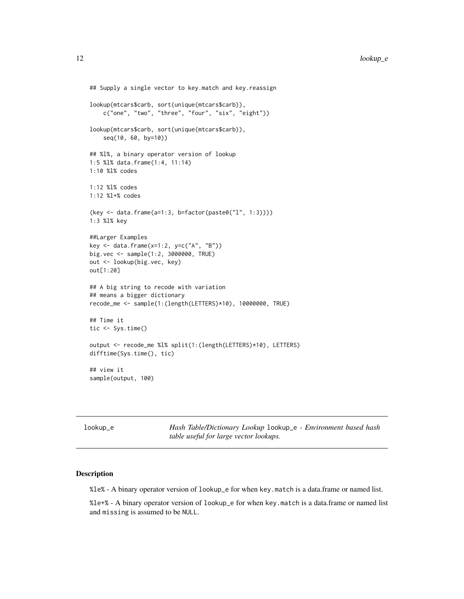```
## Supply a single vector to key.match and key.reassign
lookup(mtcars$carb, sort(unique(mtcars$carb)),
    c("one", "two", "three", "four", "six", "eight"))
lookup(mtcars$carb, sort(unique(mtcars$carb)),
    seq(10, 60, by=10))
## %l%, a binary operator version of lookup
1:5 %l% data.frame(1:4, 11:14)
1:10 %l% codes
1:12 %l% codes
1:12 %l+% codes
(key <- data.frame(a=1:3, b=factor(paste0("l", 1:3))))
1:3 %l% key
##Larger Examples
key <- data.frame(x=1:2, y=c("A", "B"))
big.vec <- sample(1:2, 3000000, TRUE)
out <- lookup(big.vec, key)
out[1:20]
## A big string to recode with variation
## means a bigger dictionary
recode_me <- sample(1:(length(LETTERS)*10), 10000000, TRUE)
## Time it
tic <- Sys.time()
output <- recode_me %l% split(1:(length(LETTERS)*10), LETTERS)
difftime(Sys.time(), tic)
## view it
sample(output, 100)
```

| lookup_e | Hash Table/Dictionary Lookup lookup_e - Environment based hash |
|----------|----------------------------------------------------------------|
|          | table useful for large vector lookups.                         |

# Description

%le% - A binary operator version of lookup\_e for when key.match is a data.frame or named list.

%le+% - A binary operator version of lookup\_e for when key.match is a data.frame or named list and missing is assumed to be NULL.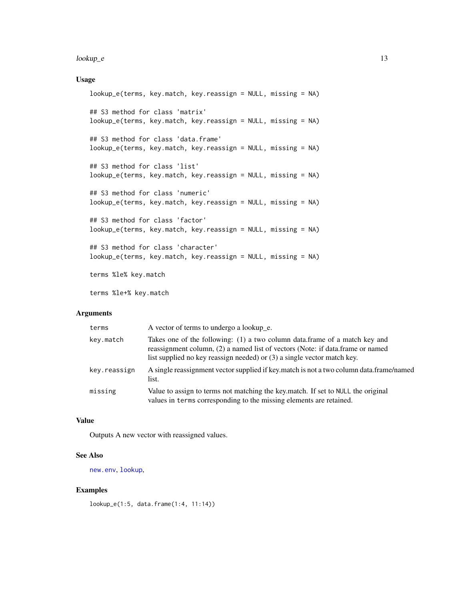#### <span id="page-12-0"></span>lookup\_e to the 13 second state of the 13 second state of the 13 second state of the 13 second state of the 13

# Usage

```
lookup_e(terms, key.match, key.reassign = NULL, missing = NA)
## S3 method for class 'matrix'
lookup_e(terms, key.match, key.reassign = NULL, missing = NA)
## S3 method for class 'data.frame'
lookup_e(terms, key.match, key.reassign = NULL, missing = NA)
## S3 method for class 'list'
lookup_e(terms, key.match, key.reassign = NULL, missing = NA)
## S3 method for class 'numeric'
lookup_e(terms, key.match, key.reassign = NULL, missing = NA)
## S3 method for class 'factor'
lookup_e(terms, key.match, key.reassign = NULL, missing = NA)
## S3 method for class 'character'
lookup_e(terms, key.match, key.reassign = NULL, missing = NA)
```
terms %le% key.match

terms %le+% key.match

# **Arguments**

| terms        | A vector of terms to undergo a lookup_e.                                                                                                                                                                                                |
|--------------|-----------------------------------------------------------------------------------------------------------------------------------------------------------------------------------------------------------------------------------------|
| key.match    | Takes one of the following: (1) a two column data.frame of a match key and<br>reassignment column, (2) a named list of vectors (Note: if data.frame or named<br>list supplied no key reassign needed) or (3) a single vector match key. |
| key.reassign | A single reassignment vector supplied if key match is not a two column data.frame/named<br>list.                                                                                                                                        |
| missing      | Value to assign to terms not matching the key.match. If set to NULL the original<br>values in terms corresponding to the missing elements are retained.                                                                                 |

#### Value

Outputs A new vector with reassigned values.

#### See Also

[new.env](#page-0-0), [lookup](#page-9-1),

#### Examples

lookup\_e(1:5, data.frame(1:4, 11:14))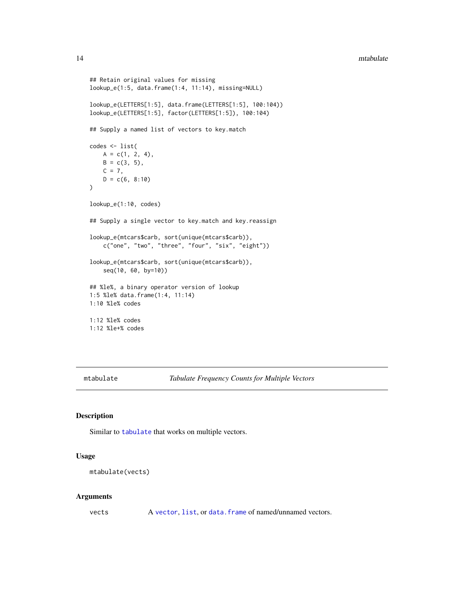#### <span id="page-13-0"></span>14 mtabulate **12** mtabulate **12** mtabulate **12** mtabulate **12** mtabulate **12** mtabulate **12** mtabulate **12** mtabulate **12** mtabulate **12** mtabulate **12** mtabulate **12** mtabulate **12** mtabulate **12** mtabulate **12** mtabulate

```
## Retain original values for missing
lookup_e(1:5, data.frame(1:4, 11:14), missing=NULL)
lookup_e(LETTERS[1:5], data.frame(LETTERS[1:5], 100:104))
lookup_e(LETTERS[1:5], factor(LETTERS[1:5]), 100:104)
## Supply a named list of vectors to key.match
codes <- list(
   A = c(1, 2, 4),B = c(3, 5),
   C = 7,D = c(6, 8:10))
lookup_e(1:10, codes)
## Supply a single vector to key.match and key.reassign
lookup_e(mtcars$carb, sort(unique(mtcars$carb)),
    c("one", "two", "three", "four", "six", "eight"))
lookup_e(mtcars$carb, sort(unique(mtcars$carb)),
    seq(10, 60, by=10))
## %le%, a binary operator version of lookup
1:5 %le% data.frame(1:4, 11:14)
1:10 %le% codes
1:12 %le% codes
1:12 %le+% codes
```
<span id="page-13-1"></span>mtabulate *Tabulate Frequency Counts for Multiple Vectors*

# Description

Similar to [tabulate](#page-0-0) that works on multiple vectors.

#### Usage

```
mtabulate(vects)
```
#### Arguments

vects A [vector](#page-0-0), [list](#page-0-0), or [data.frame](#page-0-0) of named/unnamed vectors.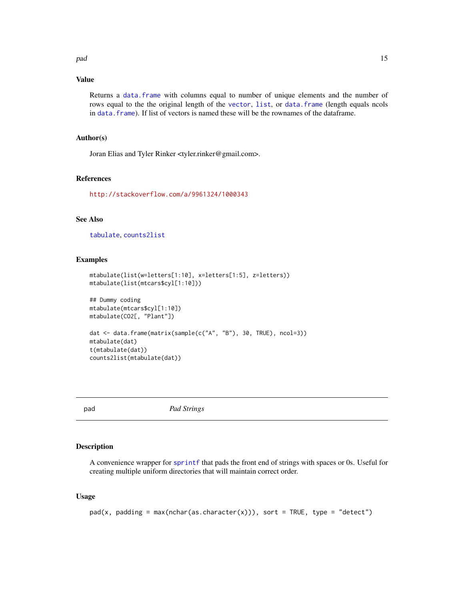<span id="page-14-0"></span>pad 15

# Value

Returns a [data.frame](#page-0-0) with columns equal to number of unique elements and the number of rows equal to the the original length of the [vector](#page-0-0), [list](#page-0-0), or [data.frame](#page-0-0) (length equals ncols in [data.frame](#page-0-0)). If list of vectors is named these will be the rownames of the dataframe.

# Author(s)

Joran Elias and Tyler Rinker <tyler.rinker@gmail.com>.

# References

<http://stackoverflow.com/a/9961324/1000343>

# See Also

[tabulate](#page-0-0), [counts2list](#page-4-1)

#### Examples

```
mtabulate(list(w=letters[1:10], x=letters[1:5], z=letters))
mtabulate(list(mtcars$cyl[1:10]))
## Dummy coding
mtabulate(mtcars$cyl[1:10])
mtabulate(CO2[, "Plant"])
dat <- data.frame(matrix(sample(c("A", "B"), 30, TRUE), ncol=3))
mtabulate(dat)
t(mtabulate(dat))
```

```
counts2list(mtabulate(dat))
```
<span id="page-14-1"></span>

pad *Pad Strings*

#### Description

A convenience wrapper for [sprintf](#page-0-0) that pads the front end of strings with spaces or 0s. Useful for creating multiple uniform directories that will maintain correct order.

#### Usage

 $pad(x, padding = max(nchar(as.character(x))), sort = TRUE, type = "detect")$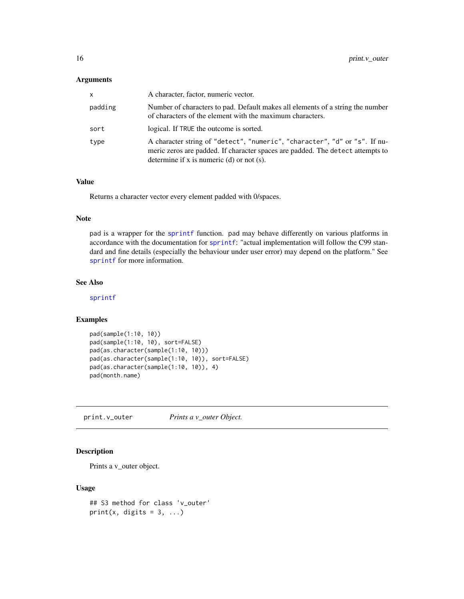### <span id="page-15-0"></span>Arguments

| X       | A character, factor, numeric vector.                                                                                                                                                                         |
|---------|--------------------------------------------------------------------------------------------------------------------------------------------------------------------------------------------------------------|
| padding | Number of characters to pad. Default makes all elements of a string the number<br>of characters of the element with the maximum characters.                                                                  |
| sort    | logical. If TRUE the outcome is sorted.                                                                                                                                                                      |
| type    | A character string of "detect", "numeric", "character", "d" or "s". If nu-<br>meric zeros are padded. If character spaces are padded. The detect attempts to<br>determine if x is numeric (d) or not $(s)$ . |

#### Value

Returns a character vector every element padded with 0/spaces.

# Note

pad is a wrapper for the [sprintf](#page-0-0) function. pad may behave differently on various platforms in accordance with the documentation for [sprintf](#page-0-0): "actual implementation will follow the C99 standard and fine details (especially the behaviour under user error) may depend on the platform." See [sprintf](#page-0-0) for more information.

# See Also

[sprintf](#page-0-0)

# Examples

```
pad(sample(1:10, 10))
pad(sample(1:10, 10), sort=FALSE)
pad(as.character(sample(1:10, 10)))
pad(as.character(sample(1:10, 10)), sort=FALSE)
pad(as.character(sample(1:10, 10)), 4)
pad(month.name)
```
print.v\_outer *Prints a v\_outer Object.*

# Description

Prints a v\_outer object.

#### Usage

```
## S3 method for class 'v_outer'
print(x, digits = 3, ...)
```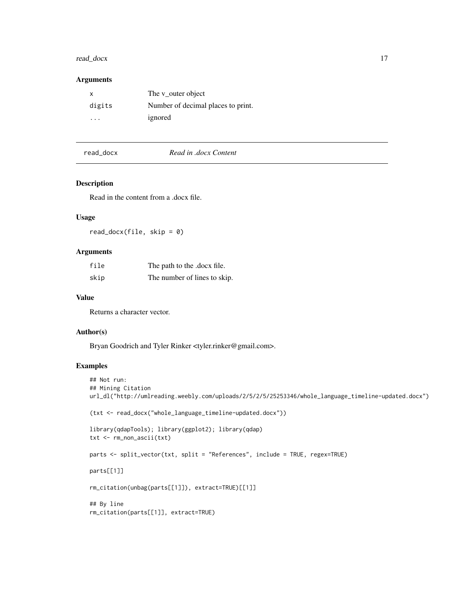# <span id="page-16-0"></span>read\_docx 17

### Arguments

| X                       | The v outer object                 |
|-------------------------|------------------------------------|
| digits                  | Number of decimal places to print. |
| $\cdot$ $\cdot$ $\cdot$ | ignored                            |

#### read\_docx *Read in .docx Content*

# Description

Read in the content from a .docx file.

#### Usage

read\_docx(file, skip = 0)

#### Arguments

| file | The path to the .docx file.  |
|------|------------------------------|
| skip | The number of lines to skip. |

#### Value

Returns a character vector.

# Author(s)

Bryan Goodrich and Tyler Rinker <tyler.rinker@gmail.com>.

```
## Not run:
## Mining Citation
url_dl("http://umlreading.weebly.com/uploads/2/5/2/5/25253346/whole_language_timeline-updated.docx")
(txt <- read_docx("whole_language_timeline-updated.docx"))
library(qdapTools); library(ggplot2); library(qdap)
txt <- rm_non_ascii(txt)
parts <- split_vector(txt, split = "References", include = TRUE, regex=TRUE)
parts[[1]]
rm_citation(unbag(parts[[1]]), extract=TRUE)[[1]]
## By line
rm_citation(parts[[1]], extract=TRUE)
```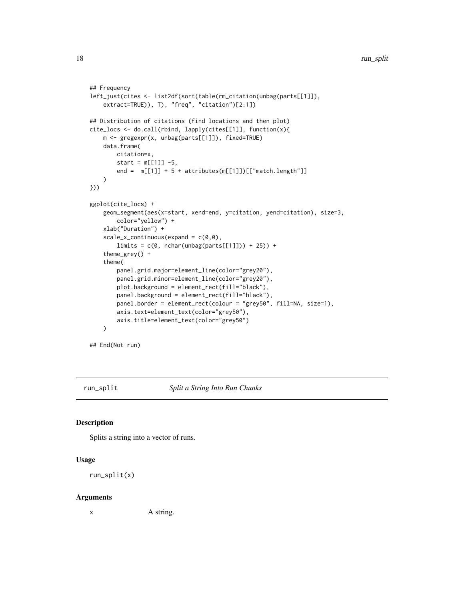```
## Frequency
left_just(cites <- list2df(sort(table(rm_citation(unbag(parts[[1]]),
    extract=TRUE)), T), "freq", "citation")[2:1])
## Distribution of citations (find locations and then plot)
cite_locs <- do.call(rbind, lapply(cites[[1]], function(x){
   m <- gregexpr(x, unbag(parts[[1]]), fixed=TRUE)
   data.frame(
       citation=x,
       start = m[[1]] - 5,
       end = m[[1]] + 5 + attributes(m[[1]])[["match.length"]])
}))
ggplot(cite_locs) +
   geom_segment(aes(x=start, xend=end, y=citation, yend=citation), size=3,
       color="yellow") +
   xlab("Duration") +
    scale_x_{continuous}(expand = c(0,0),
       limits = c(0, nchar(unbag(parts[[1]])) + 25)) +theme_grey() +
    theme(
       panel.grid.major=element_line(color="grey20"),
       panel.grid.minor=element_line(color="grey20"),
       plot.background = element_rect(fill="black"),
       panel.background = element_rect(fill="black"),
       panel.border = element_rect(colour = "grey50", fill=NA, size=1),
       axis.text=element_text(color="grey50"),
       axis.title=element_text(color="grey50")
   )
```
## End(Not run)

<span id="page-17-1"></span>run\_split *Split a String Into Run Chunks*

#### Description

Splits a string into a vector of runs.

#### Usage

```
run_split(x)
```
#### Arguments

x A string.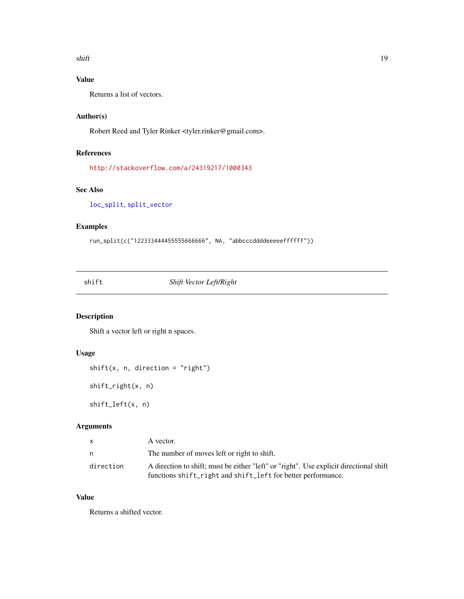<span id="page-18-0"></span>shift the state of the state of the state of the state of the state of the state of the state of the state of the state of the state of the state of the state of the state of the state of the state of the state of the stat

# Value

Returns a list of vectors.

# Author(s)

Robert Reed and Tyler Rinker <tyler.rinker@gmail.com>.

# References

<http://stackoverflow.com/a/24319217/1000343>

# See Also

[loc\\_split](#page-7-1), [split\\_vector](#page-19-1)

# Examples

```
run_split(c("122333444455555666666", NA, "abbcccddddeeeeeffffff"))
```
shift *Shift Vector Left/Right*

# Description

Shift a vector left or right n spaces.

# Usage

```
shift(x, n, direction = "right")
```
shift\_right(x, n)

shift\_left(x, n)

# Arguments

| X         | A vector.                                                                              |
|-----------|----------------------------------------------------------------------------------------|
| n         | The number of moves left or right to shift.                                            |
| direction | A direction to shift; must be either "left" or "right". Use explicit directional shift |
|           | functions shift_right and shift_left for better performance.                           |

# Value

Returns a shifted vector.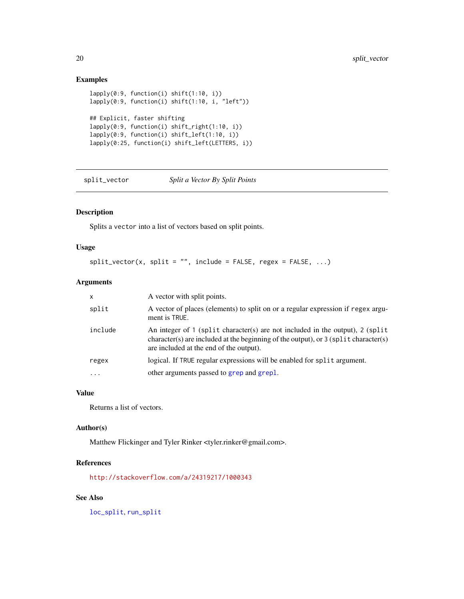# Examples

```
lapply(0:9, function(i) shift(1:10, i))
lapply(0:9, function(i) shift(1:10, i, "left"))
## Explicit, faster shifting
lapply(0:9, function(i) shift_right(1:10, i))
lapply(0:9, function(i) shift_left(1:10, i))
lapply(0:25, function(i) shift_left(LETTERS, i))
```
<span id="page-19-1"></span>split\_vector *Split a Vector By Split Points*

# Description

Splits a vector into a list of vectors based on split points.

# Usage

```
split\_vector(x, split = "", include = FALSE, regex = FALSE, ...)
```
# Arguments

| $\mathsf{x}$ | A vector with split points.                                                                                                                                                                                       |
|--------------|-------------------------------------------------------------------------------------------------------------------------------------------------------------------------------------------------------------------|
| split        | A vector of places (elements) to split on or a regular expression if regex argu-<br>ment is TRUE.                                                                                                                 |
| include      | An integer of 1 (split character(s) are not included in the output), 2 (split<br>character(s) are included at the beginning of the output), or $3$ (split character(s)<br>are included at the end of the output). |
| regex        | logical. If TRUE regular expressions will be enabled for split argument.                                                                                                                                          |
| .            | other arguments passed to grep and grepl.                                                                                                                                                                         |

#### Value

Returns a list of vectors.

# Author(s)

Matthew Flickinger and Tyler Rinker <tyler.rinker@gmail.com>.

# References

<http://stackoverflow.com/a/24319217/1000343>

# See Also

[loc\\_split](#page-7-1), [run\\_split](#page-17-1)

<span id="page-19-0"></span>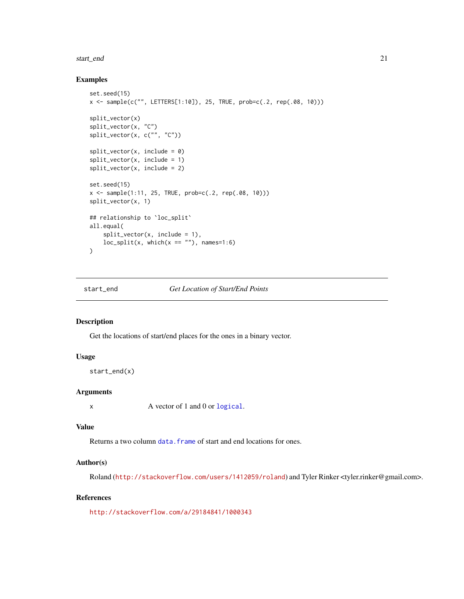#### <span id="page-20-0"></span>start\_end 21

#### Examples

```
set.seed(15)
x <- sample(c("", LETTERS[1:10]), 25, TRUE, prob=c(.2, rep(.08, 10)))
split_vector(x)
split_vector(x, "C")
split_vector(x, c("", "C"))
split_vector(x, include = 0)
split\_vector(x, include = 1)split_vector(x, include = 2)
set.seed(15)
x \le - sample(1:11, 25, TRUE, prob=c(.2, rep(.08, 10)))
split_vector(x, 1)
## relationship to `loc_split`
all.equal(
    split\_vector(x, include = 1),loc\_split(x, which(x == ""), names=1:6)
\mathcal{L}
```
start\_end *Get Location of Start/End Points*

#### Description

Get the locations of start/end places for the ones in a binary vector.

#### Usage

```
start_end(x)
```
# Arguments

x A vector of 1 and 0 or [logical](#page-0-0).

#### Value

Returns a two column data. frame of start and end locations for ones.

#### Author(s)

Roland (<http://stackoverflow.com/users/1412059/roland>) and Tyler Rinker <tyler.rinker@gmail.com>.

# References

<http://stackoverflow.com/a/29184841/1000343>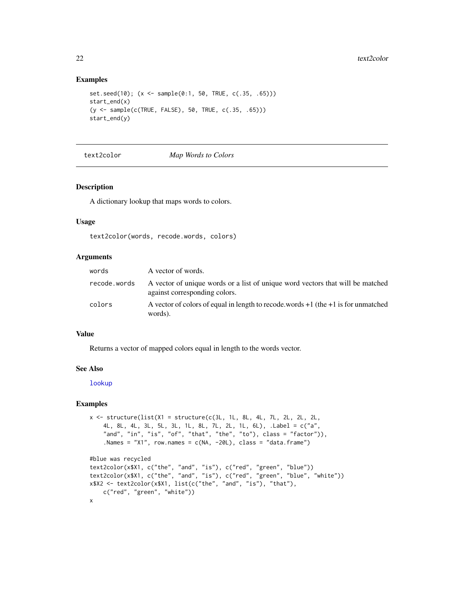#### Examples

```
set.seed(10); (x <- sample(0:1, 50, TRUE, c(.35, .65)))
start_end(x)
(y <- sample(c(TRUE, FALSE), 50, TRUE, c(.35, .65)))
start_end(y)
```
#### text2color *Map Words to Colors*

# Description

A dictionary lookup that maps words to colors.

#### Usage

text2color(words, recode.words, colors)

#### Arguments

| words        | A vector of words.                                                                                              |
|--------------|-----------------------------------------------------------------------------------------------------------------|
| recode.words | A vector of unique words or a list of unique word vectors that will be matched<br>against corresponding colors. |
| colors       | A vector of colors of equal in length to recode.words $+1$ (the $+1$ is for unmatched<br>words).                |

# Value

Returns a vector of mapped colors equal in length to the words vector.

#### See Also

[lookup](#page-9-1)

```
x \le structure(list(X1 = structure(c(3L, 1L, 8L, 4L, 7L, 2L, 2L, 2L,
    4L, 8L, 4L, 3L, 5L, 3L, 1L, 8L, 7L, 2L, 1L, 6L), .Label = c("a",
    "and", "in", "is", "of", "that", "the", "to"), class = "factor")),
    .Names = "X1", row.names = c(NA, -20L), class = "data.frame")
#blue was recycled
text2color(x$X1, c("the", "and", "is"), c("red", "green", "blue"))
text2color(x$X1, c("the", "and", "is"), c("red", "green", "blue", "white"))
x$X2 <- text2color(x$X1, list(c("the", "and", "is"), "that"),
    c("red", "green", "white"))
x
```
<span id="page-21-0"></span>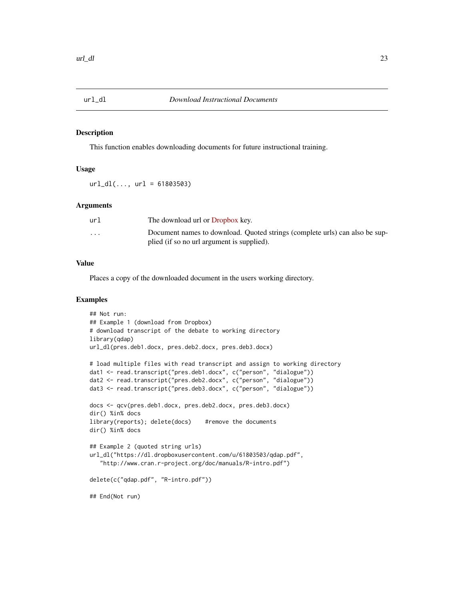<span id="page-22-0"></span>

## Description

This function enables downloading documents for future instructional training.

#### Usage

 $url_d1(..., url = 61803503)$ 

#### **Arguments**

| url     | The download url or Dropbox key.                                            |
|---------|-----------------------------------------------------------------------------|
| $\cdot$ | Document names to download. Quoted strings (complete urls) can also be sup- |
|         | plied (if so no url argument is supplied).                                  |

#### Value

Places a copy of the downloaded document in the users working directory.

```
## Not run:
## Example 1 (download from Dropbox)
# download transcript of the debate to working directory
library(qdap)
url_dl(pres.deb1.docx, pres.deb2.docx, pres.deb3.docx)
# load multiple files with read transcript and assign to working directory
dat1 <- read.transcript("pres.deb1.docx", c("person", "dialogue"))
dat2 <- read.transcript("pres.deb2.docx", c("person", "dialogue"))
dat3 <- read.transcript("pres.deb3.docx", c("person", "dialogue"))
docs <- qcv(pres.deb1.docx, pres.deb2.docx, pres.deb3.docx)
dir() %in% docs
library(reports); delete(docs) #remove the documents
dir() %in% docs
## Example 2 (quoted string urls)
url_dl("https://dl.dropboxusercontent.com/u/61803503/qdap.pdf",
   "http://www.cran.r-project.org/doc/manuals/R-intro.pdf")
delete(c("qdap.pdf", "R-intro.pdf"))
## End(Not run)
```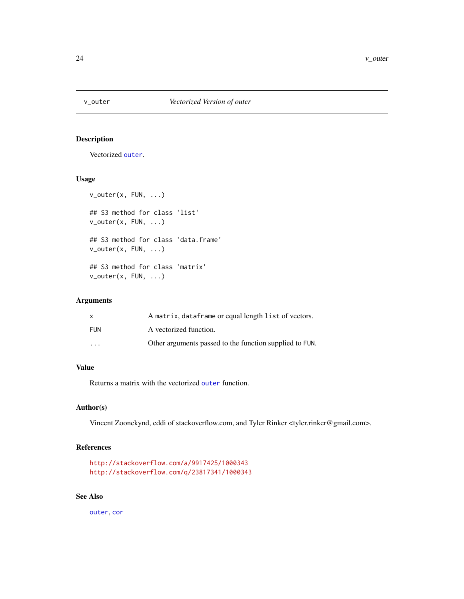<span id="page-23-0"></span>

# Description

Vectorized [outer](#page-0-0).

# Usage

```
v_outer(x, FUN, ...)
## S3 method for class 'list'
v_outer(x, FUN, ...)
## S3 method for class 'data.frame'
v_outer(x, FUN, ...)
## S3 method for class 'matrix'
v_outer(x, FUN, ...)
```
# Arguments

| x                       | A matrix, dataframe or equal length list of vectors.    |
|-------------------------|---------------------------------------------------------|
| FUN                     | A vectorized function.                                  |
| $\cdot$ $\cdot$ $\cdot$ | Other arguments passed to the function supplied to FUN. |

# Value

Returns a matrix with the vectorized [outer](#page-0-0) function.

# Author(s)

Vincent Zoonekynd, eddi of stackoverflow.com, and Tyler Rinker <tyler.rinker@gmail.com>.

# References

```
http://stackoverflow.com/a/9917425/1000343
http://stackoverflow.com/q/23817341/1000343
```
# See Also

[outer](#page-0-0), [cor](#page-0-0)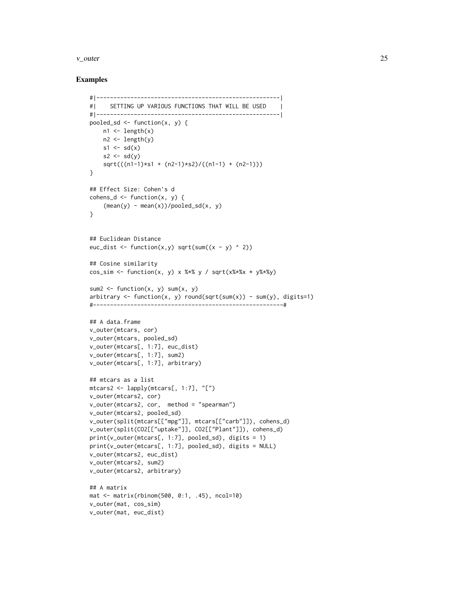#### $v_$ outer  $25$

```
#|------------------------------------------------------|
#| SETTING UP VARIOUS FUNCTIONS THAT WILL BE USED |
#|------------------------------------------------------|
pooled_sd \leq function(x, y) {
   n1 \leftarrow length(x)n2 \leftarrow length(y)s1 \leftarrow sd(x)s2 \leftarrow sd(y)sqrt(((n1-1)*s1 + (n2-1)*s2)/((n1-1) + (n2-1)))
}
## Effect Size: Cohen's d
cohens_d \leq function(x, y) {
    (mean(y) - mean(x))/pooled_s d(x, y)}
## Euclidean Distance
euc_dist <- function(x,y) sqrt(sum((x - y) ^ 2))
## Cosine similarity
cos_sim <- function(x, y) x %*% y / sqrt(x%*%x * y%*%y)
sum2 \leq function(x, y) sum(x, y)
arbitrary \le function(x, y) round(sqrt(sum(x)) - sum(y), digits=1)
#--------------------------------------------------------#
## A data.frame
v_outer(mtcars, cor)
v_outer(mtcars, pooled_sd)
v_outer(mtcars[, 1:7], euc_dist)
v_outer(mtcars[, 1:7], sum2)
v_outer(mtcars[, 1:7], arbitrary)
## mtcars as a list
mtcars2 <- lapply(mtcars[, 1:7], "[")
v_outer(mtcars2, cor)
v_outer(mtcars2, cor, method = "spearman")
v_outer(mtcars2, pooled_sd)
v_outer(split(mtcars[["mpg"]], mtcars[["carb"]]), cohens_d)
v_outer(split(CO2[["uptake"]], CO2[["Plant"]]), cohens_d)
print(v_outer(mtcars[, 1:7], pooled_sd), digits = 1)
print(v_outer(mtcars[, 1:7], pooled_sd), digits = NULL)
v_outer(mtcars2, euc_dist)
v_outer(mtcars2, sum2)
v_outer(mtcars2, arbitrary)
## A matrix
mat <- matrix(rbinom(500, 0:1, .45), ncol=10)
v_outer(mat, cos_sim)
v_outer(mat, euc_dist)
```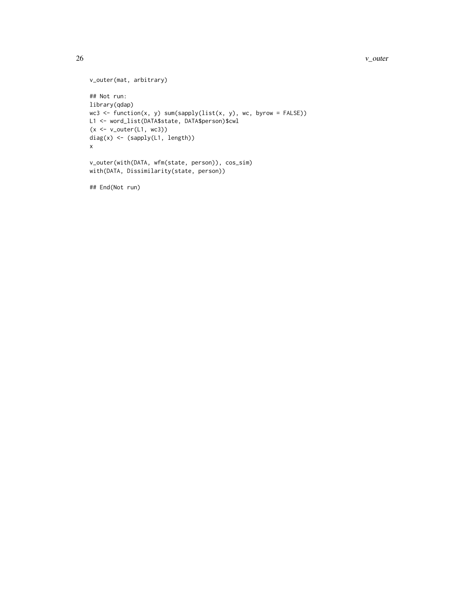#### 26 v\_outer v= 0.0 v\_outer v= 0.0 v\_outer v= 0.0 v\_outer v= 0.0 v\_outer v= 0.0 v\_outer v= 0.0 v\_outer v= 0.0 v\_outer

```
v_outer(mat, arbitrary)
## Not run:
library(qdap)
wc3 <- function(x, y) sum(sapply(list(x, y), wc, byrow = FALSE))
L1 <- word_list(DATA$state, DATA$person)$cwl
(x \leq v_outer(L1, wc3))diag(x) <- (sapply(L1, length))
x
v_outer(with(DATA, wfm(state, person)), cos_sim)
with(DATA, Dissimilarity(state, person))
```
## End(Not run)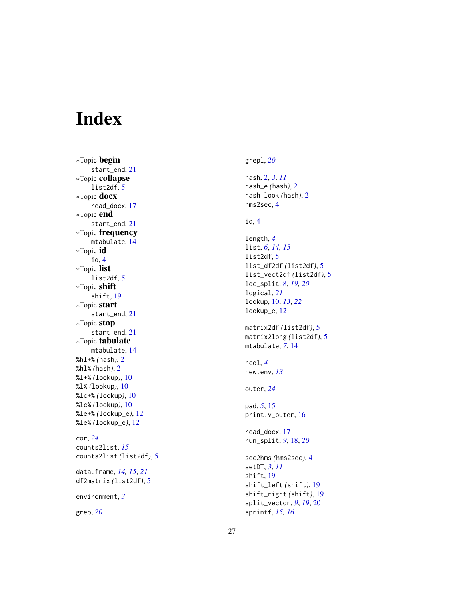# <span id="page-26-0"></span>Index

∗Topic begin start\_end , [21](#page-20-0) ∗Topic collapse list2df , [5](#page-4-0) ∗Topic docx read\_docx , [17](#page-16-0) ∗Topic end start\_end , [21](#page-20-0) ∗Topic frequency mtabulate , [14](#page-13-0) ∗Topic id id , [4](#page-3-0) ∗Topic list list2df , [5](#page-4-0) ∗Topic shift shift , [19](#page-18-0) ∗Topic start start\_end , [21](#page-20-0) ∗Topic stop start\_end , [21](#page-20-0) ∗Topic tabulate mtabulate , [14](#page-13-0) %hl+% *(*hash *)* , [2](#page-1-0) %hl% *(*hash *)* , [2](#page-1-0) %l+% *(*lookup *)* , [10](#page-9-0) %l% *(*lookup *)* , [10](#page-9-0) %lc+% *(*lookup *)* , [10](#page-9-0) %lc% *(*lookup *)* , [10](#page-9-0) %le+% *(*lookup\_e *)* , [12](#page-11-0) %le% *(*lookup\_e *)* , [12](#page-11-0) cor , *[24](#page-23-0)* counts2list , *[15](#page-14-0)* counts2list *(*list2df *)* , [5](#page-4-0) data.frame , *[14](#page-13-0) , [15](#page-14-0)* , *[21](#page-20-0)* df2matrix *(*list2df *)* , [5](#page-4-0) environment , *[3](#page-2-0)* grep , *[20](#page-19-0)*

grepl , *[20](#page-19-0)*

hash , [2](#page-1-0) , *[3](#page-2-0)* , *[11](#page-10-0)* hash\_e *(*hash *)* , [2](#page-1-0) hash\_look *(*hash *)* , [2](#page-1-0) hms2sec , [4](#page-3-0) id , [4](#page-3-0) length , *[4](#page-3-0)* list , *[6](#page-5-0)* , *[14](#page-13-0) , [15](#page-14-0)* list2df , [5](#page-4-0) list\_df2df *(*list2df *)* , [5](#page-4-0) list\_vect2df *(*list2df *)* , [5](#page-4-0) loc\_split , [8](#page-7-0) , *[19](#page-18-0) , [20](#page-19-0)* logical , *[21](#page-20-0)* lookup , [10](#page-9-0) , *[13](#page-12-0)* , *[22](#page-21-0)* lookup\_e , [12](#page-11-0) matrix2df *(*list2df *)* , [5](#page-4-0) matrix2long *(*list2df *)* , [5](#page-4-0) mtabulate , *[7](#page-6-0)* , [14](#page-13-0) ncol , *[4](#page-3-0)* new.env , *[13](#page-12-0)* outer , *[24](#page-23-0)* pad , *[5](#page-4-0)* , [15](#page-14-0) print.v\_outer , [16](#page-15-0) read\_docx , [17](#page-16-0) run\_split , *[9](#page-8-0)* , [18](#page-17-0) , *[20](#page-19-0)*

sec2hms *(*hms2sec *)* , [4](#page-3-0) setDT , *[3](#page-2-0)* , *[11](#page-10-0)* shift , [19](#page-18-0) shift\_left *(*shift *)* , [19](#page-18-0) shift\_right *(*shift *)* , [19](#page-18-0) split\_vector , *[9](#page-8-0)* , *[19](#page-18-0)* , [20](#page-19-0) sprintf , *[15](#page-14-0) , [16](#page-15-0)*